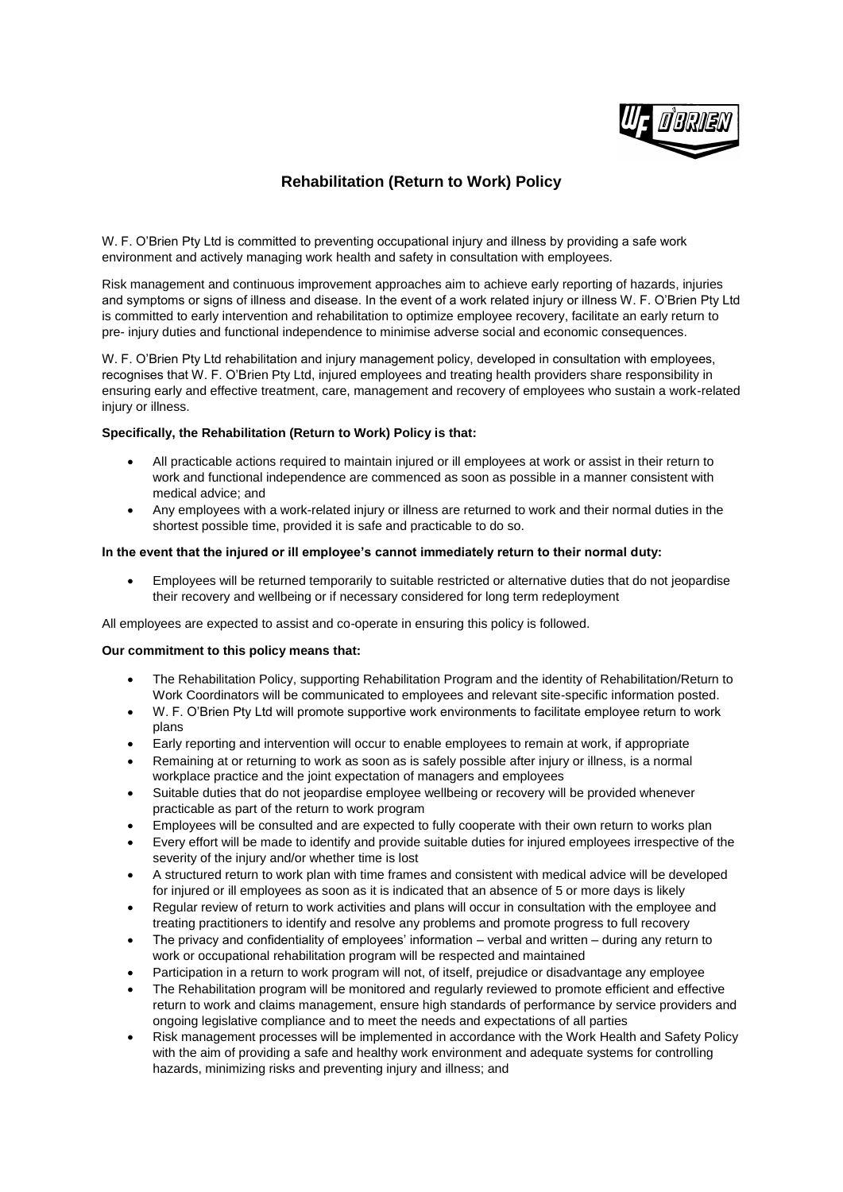

# **Rehabilitation (Return to Work) Policy**

W. F. O'Brien Pty Ltd is committed to preventing occupational injury and illness by providing a safe work environment and actively managing work health and safety in consultation with employees.

Risk management and continuous improvement approaches aim to achieve early reporting of hazards, injuries and symptoms or signs of illness and disease. In the event of a work related injury or illness W. F. O'Brien Pty Ltd is committed to early intervention and rehabilitation to optimize employee recovery, facilitate an early return to pre- injury duties and functional independence to minimise adverse social and economic consequences.

W. F. O'Brien Pty Ltd rehabilitation and injury management policy, developed in consultation with employees, recognises that W. F. O'Brien Pty Ltd, injured employees and treating health providers share responsibility in ensuring early and effective treatment, care, management and recovery of employees who sustain a work-related injury or illness.

# **Specifically, the Rehabilitation (Return to Work) Policy is that:**

- All practicable actions required to maintain injured or ill employees at work or assist in their return to work and functional independence are commenced as soon as possible in a manner consistent with medical advice; and
- Any employees with a work-related injury or illness are returned to work and their normal duties in the shortest possible time, provided it is safe and practicable to do so.

### **In the event that the injured or ill employee's cannot immediately return to their normal duty:**

 Employees will be returned temporarily to suitable restricted or alternative duties that do not jeopardise their recovery and wellbeing or if necessary considered for long term redeployment

All employees are expected to assist and co-operate in ensuring this policy is followed.

#### **Our commitment to this policy means that:**

- The Rehabilitation Policy, supporting Rehabilitation Program and the identity of Rehabilitation/Return to Work Coordinators will be communicated to employees and relevant site-specific information posted.
- W. F. O'Brien Pty Ltd will promote supportive work environments to facilitate employee return to work plans
- Early reporting and intervention will occur to enable employees to remain at work, if appropriate
- Remaining at or returning to work as soon as is safely possible after injury or illness, is a normal workplace practice and the joint expectation of managers and employees
- Suitable duties that do not jeopardise employee wellbeing or recovery will be provided whenever practicable as part of the return to work program
- Employees will be consulted and are expected to fully cooperate with their own return to works plan
- Every effort will be made to identify and provide suitable duties for injured employees irrespective of the severity of the injury and/or whether time is lost
- A structured return to work plan with time frames and consistent with medical advice will be developed for injured or ill employees as soon as it is indicated that an absence of 5 or more days is likely
- Regular review of return to work activities and plans will occur in consultation with the employee and treating practitioners to identify and resolve any problems and promote progress to full recovery
- The privacy and confidentiality of employees' information verbal and written during any return to work or occupational rehabilitation program will be respected and maintained
- Participation in a return to work program will not, of itself, prejudice or disadvantage any employee
- The Rehabilitation program will be monitored and regularly reviewed to promote efficient and effective return to work and claims management, ensure high standards of performance by service providers and ongoing legislative compliance and to meet the needs and expectations of all parties
- Risk management processes will be implemented in accordance with the Work Health and Safety Policy with the aim of providing a safe and healthy work environment and adequate systems for controlling hazards, minimizing risks and preventing injury and illness; and